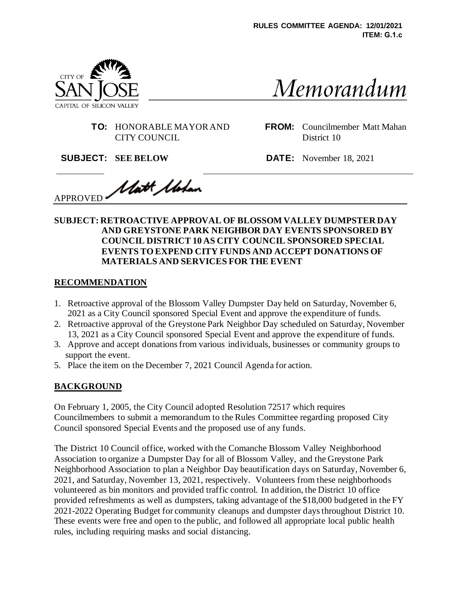

Memorandum

**TO:** HONORABLE MAYOR AND CITY COUNCIL

**FROM:** Councilmember Matt Mahan District 10

**SUBJECT: SEE BELOW DATE:** November 18, 2021

Matt Mohan APPROVED:

#### **SUBJECT: RETROACTIVE APPROVAL OF BLOSSOM VALLEY DUMPSTER DAY AND GREYSTONE PARK NEIGHBOR DAY EVENTS SPONSORED BY COUNCIL DISTRICT 10 AS CITY COUNCIL SPONSORED SPECIAL EVENTS TO EXPEND CITY FUNDS AND ACCEPT DONATIONS OF MATERIALS AND SERVICES FOR THE EVENT**

# **RECOMMENDATION**

- 1. Retroactive approval of the Blossom Valley Dumpster Day held on Saturday, November 6, 2021 as a City Council sponsored Special Event and approve the expenditure of funds.
- 2. Retroactive approval of the Greystone Park Neighbor Day scheduled on Saturday, November 13, 2021 as a City Council sponsored Special Event and approve the expenditure of funds.
- 3. Approve and accept donations from various individuals, businesses or community groups to support the event.
- 5. Place the item on the December 7, 2021 Council Agenda for action.

# **BACKGROUND**

On February 1, 2005, the City Council adopted Resolution 72517 which requires Councilmembers to submit a memorandum to the Rules Committee regarding proposed City Council sponsored Special Events and the proposed use of any funds.

The District 10 Council office, worked with the Comanche Blossom Valley Neighborhood Association to organize a Dumpster Day for all of Blossom Valley, and the Greystone Park Neighborhood Association to plan a Neighbor Day beautification days on Saturday, November 6, 2021, and Saturday, November 13, 2021, respectively. Volunteers from these neighborhoods volunteered as bin monitors and provided traffic control. In addition, the District 10 office provided refreshments as well as dumpsters, taking advantage of the \$18,000 budgeted in the FY 2021-2022 Operating Budget for community cleanups and dumpster days throughout District 10. These events were free and open to the public, and followed all appropriate local public health rules, including requiring masks and social distancing.